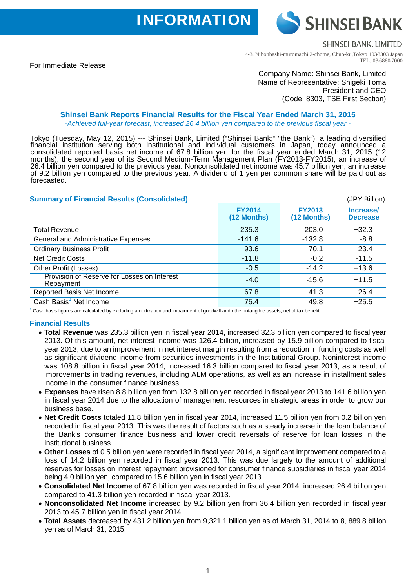**INFORMATION** 

**SHINSELBANK LIMITED** 

**SHINSEI BANK** 

For Immediate Release

4-3, Nihonbashi-muromachi 2-chome, Chuo-ku,Tokyo 103-8303 Japan TEL: 03-6880-7000

# Company Name: Shinsei Bank, Limited Name of Representative: Shigeki Toma President and CEO (Code: 8303, TSE First Section)

#### **Shinsei Bank Reports Financial Results for the Fiscal Year Ended March 31, 2015**  *-Achieved full-year forecast, increased 26.4 billion yen compared to the previous fiscal year -*

Tokyo (Tuesday, May 12, 2015) --- Shinsei Bank, Limited ("Shinsei Bank;" "the Bank"), a leading diversified financial institution serving both institutional and individual customers in Japan, today announced a consolidated reported basis net income of 67.8 billion yen for the fiscal year ended March 31, 2015 (12 months), the second year of its Second Medium-Term Management Plan (FY2013-FY2015), an increase of 26.4 billion yen compared to the previous year. Nonconsolidated net income was 45.7 billion yen, an increase of 9.2 billion yen compared to the previous year. A dividend of 1 yen per common share will be paid out as forecasted.

| (JPY Billion)                |                              |                              |
|------------------------------|------------------------------|------------------------------|
| <b>FY2014</b><br>(12 Months) | <b>FY2013</b><br>(12 Months) | Increase/<br><b>Decrease</b> |
| 235.3                        | 203.0                        | $+32.3$                      |
| $-141.6$                     | $-132.8$                     | $-8.8$                       |
| 93.6                         | 70.1                         | $+23.4$                      |
| $-11.8$                      | $-0.2$                       | $-11.5$                      |
| $-0.5$                       | $-14.2$                      | $+13.6$                      |
| $-4.0$                       | $-15.6$                      | $+11.5$                      |
| 67.8                         | 41.3                         | $+26.4$                      |
| 75.4                         | 49.8                         | $+25.5$                      |
|                              |                              |                              |

 $1$  Cash basis figures are calculated by excluding amortization and impairment of goodwill and other intangible assets, net of tax benefit

#### **Financial Results**

- **Total Revenue** was 235.3 billion yen in fiscal year 2014, increased 32.3 billion yen compared to fiscal year 2013. Of this amount, net interest income was 126.4 billion, increased by 15.9 billion compared to fiscal year 2013, due to an improvement in net interest margin resulting from a reduction in funding costs as well as significant dividend income from securities investments in the Institutional Group. Noninterest income was 108.8 billion in fiscal year 2014, increased 16.3 billion compared to fiscal year 2013, as a result of improvements in trading revenues, including ALM operations, as well as an increase in installment sales income in the consumer finance business.
- **Expenses** have risen 8.8 billion yen from 132.8 billion yen recorded in fiscal year 2013 to 141.6 billion yen in fiscal year 2014 due to the allocation of management resources in strategic areas in order to grow our business base.
- **Net Credit Costs** totaled 11.8 billion yen in fiscal year 2014, increased 11.5 billion yen from 0.2 billion yen recorded in fiscal year 2013. This was the result of factors such as a steady increase in the loan balance of the Bank's consumer finance business and lower credit reversals of reserve for loan losses in the institutional business.
- **Other Losses** of 0.5 billion yen were recorded in fiscal year 2014, a significant improvement compared to a loss of 14.2 billion yen recorded in fiscal year 2013. This was due largely to the amount of additional reserves for losses on interest repayment provisioned for consumer finance subsidiaries in fiscal year 2014 being 4.0 billion yen, compared to 15.6 billion yen in fiscal year 2013.
- **Consolidated Net Income** of 67.8 billion yen was recorded in fiscal year 2014, increased 26.4 billion yen compared to 41.3 billion yen recorded in fiscal year 2013.
- **Nonconsolidated Net Income** increased by 9.2 billion yen from 36.4 billion yen recorded in fiscal year 2013 to 45.7 billion yen in fiscal year 2014.
- **Total Assets** decreased by 431.2 billion yen from 9,321.1 billion yen as of March 31, 2014 to 8, 889.8 billion yen as of March 31, 2015.